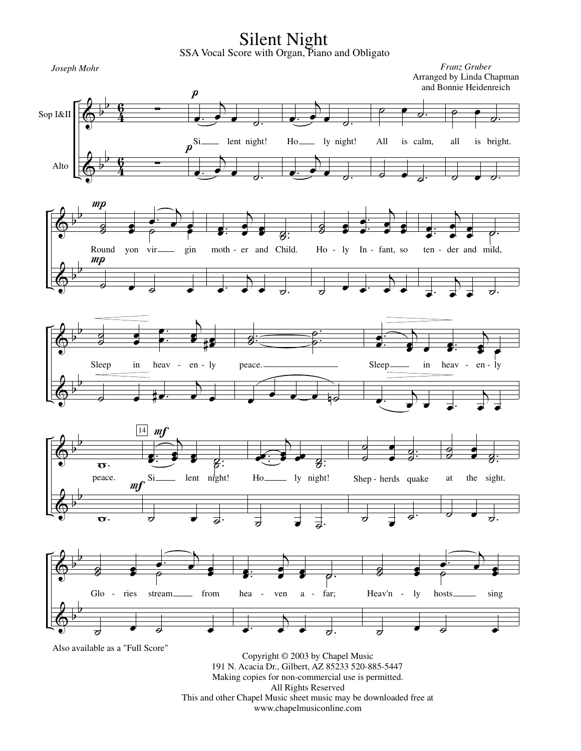Silent Night SSA Vocal Score with Organ, Piano and Obligato

 $\overline{\cdot}$ 

 $\overline{\cdot}$ 

.  $\frac{1}{8}$ :

 $\overline{b}$  $\frac{1}{\epsilon}$ 

 $\overline{b}$  $\frac{1}{\epsilon}$ 

> $\overline{g}$  $_{g}^{-}$

> $\overline{\phantom{a}}$

. .  $\overline{e}$  $\frac{\partial}{\partial}$ 

 $\overline{\partial}$ 

 $\frac{1}{\sigma}$ 

œ œ

Sop I&II

 $\pmb{\phi}$ 

b b

b  $\frac{1}{2}$ 

b  $\frac{1}{2}$ 

 $\pmb{\phi}$ 

 $\pmb{\phi}$ 

 $\pmb{\phi}$ 

b b

**v**<br>4 6  $\boldsymbol{p}$ 

œ.

œ.

 $\overline{D}$ œ œ

œ œ #

 $p^{\rm Si-}$ 

 $\overline{b}$  $\cdot$ 

 $\overline{A}$  $\cdot$ 

> .  $\bullet$ : œ

> œ.

 $\overline{\partial}$ 

 $\overline{d}$ :

 $\overline{b}$ 

moth - er and Child.

 $\overline{\phantom{a}}$ 

 $\overrightarrow{e}$   $\overrightarrow{e}$ .

. ˙.  $_3^{\rm{+}}$ 

œ œ œ œ

lent night!

**V**<br>4 **G** 

> œ œ

Round yon vir gin

 $\overrightarrow{e}$   $\overrightarrow{e}$   $\overrightarrow{e}$ 

œ œ œ.

 $\frac{1}{\gamma}$ 

. . œ œ

 $\Delta$  $\mathbf{e}$ 

b b

 $mp$ 

 $\overline{g}$  $_3^{\square}$ 

 $mp$ 

 $\overline{a}$ <u>∟ ס</u>

Alto  $\left| \begin{array}{ccc} & & p & c \\ \hline & & p & g \end{array} \right|$ 

 $\pmb{\phi}$ 

Ho- ly night!  $\overline{\mathscr{C}}$  $\frac{1}{\sigma}$ All is calm, 。<br>。 ˙.  $\overline{\ }$   $\overline{\ }$  $\overline{\partial}$ . all is bright.  $\overline{\sigma}$   $\overline{\sigma}$   $\sigma$ . . œ. œ  $\overline{b}$ œ œ œ œ Ho - ly In - fant, so  $\overrightarrow{•}$  $\overline{\phantom{a}}$  $\overrightarrow{e}$ . œ. œ  $\overline{b}$ œ œ œ œ ˙. ten - der and mild, œ.  $\overline{\mathbf{b}}$  $\Rightarrow$   $\Rightarrow$   $\Rightarrow$ . e:<br>e œ  $\overline{\mathcal{A}}$ e<br>S œ œ .  $\bullet$ : œ  $\overline{\mathcal{A}}$ œ œ œ Sleep in heav - en - ly *Joseph Mohr Franz Gruber* Arranged by Linda Chapman and Bonnie Heidenreich







Also available as a "Full Score"

Copyright © 2003 by Chapel Music 191 N. Acacia Dr., Gilbert, AZ 85233 520-885-5447 Making copies for non-commercial use is permitted. All Rights Reserved This and other Chapel Music sheet music may be downloaded free at www.chapelmusiconline.com